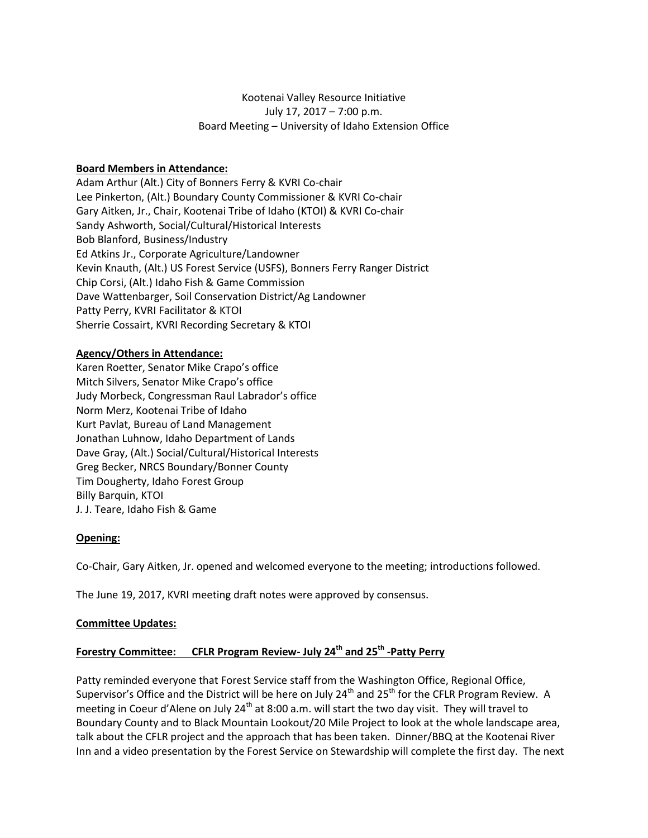# Kootenai Valley Resource Initiative July 17, 2017 – 7:00 p.m. Board Meeting – University of Idaho Extension Office

## **Board Members in Attendance:**

Adam Arthur (Alt.) City of Bonners Ferry & KVRI Co-chair Lee Pinkerton, (Alt.) Boundary County Commissioner & KVRI Co-chair Gary Aitken, Jr., Chair, Kootenai Tribe of Idaho (KTOI) & KVRI Co-chair Sandy Ashworth, Social/Cultural/Historical Interests Bob Blanford, Business/Industry Ed Atkins Jr., Corporate Agriculture/Landowner Kevin Knauth, (Alt.) US Forest Service (USFS), Bonners Ferry Ranger District Chip Corsi, (Alt.) Idaho Fish & Game Commission Dave Wattenbarger, Soil Conservation District/Ag Landowner Patty Perry, KVRI Facilitator & KTOI Sherrie Cossairt, KVRI Recording Secretary & KTOI

## **Agency/Others in Attendance:**

Karen Roetter, Senator Mike Crapo's office Mitch Silvers, Senator Mike Crapo's office Judy Morbeck, Congressman Raul Labrador's office Norm Merz, Kootenai Tribe of Idaho Kurt Pavlat, Bureau of Land Management Jonathan Luhnow, Idaho Department of Lands Dave Gray, (Alt.) Social/Cultural/Historical Interests Greg Becker, NRCS Boundary/Bonner County Tim Dougherty, Idaho Forest Group Billy Barquin, KTOI J. J. Teare, Idaho Fish & Game

## **Opening:**

Co-Chair, Gary Aitken, Jr. opened and welcomed everyone to the meeting; introductions followed.

The June 19, 2017, KVRI meeting draft notes were approved by consensus.

## **Committee Updates:**

# **Forestry Committee: CFLR Program Review- July 24th and 25th -Patty Perry**

Patty reminded everyone that Forest Service staff from the Washington Office, Regional Office, Supervisor's Office and the District will be here on July 24<sup>th</sup> and 25<sup>th</sup> for the CFLR Program Review. A meeting in Coeur d'Alene on July 24<sup>th</sup> at 8:00 a.m. will start the two day visit. They will travel to Boundary County and to Black Mountain Lookout/20 Mile Project to look at the whole landscape area, talk about the CFLR project and the approach that has been taken. Dinner/BBQ at the Kootenai River Inn and a video presentation by the Forest Service on Stewardship will complete the first day. The next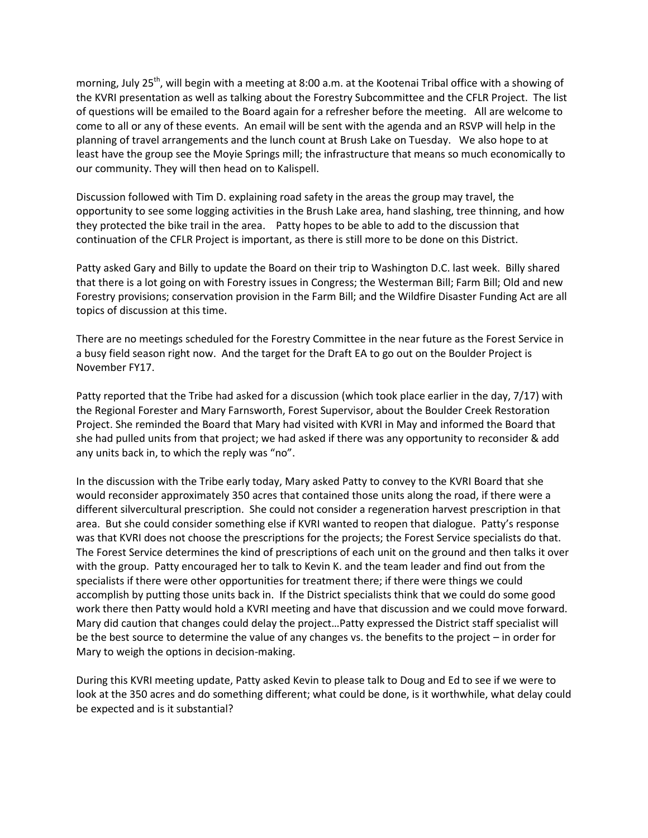morning, July 25<sup>th</sup>, will begin with a meeting at 8:00 a.m. at the Kootenai Tribal office with a showing of the KVRI presentation as well as talking about the Forestry Subcommittee and the CFLR Project. The list of questions will be emailed to the Board again for a refresher before the meeting. All are welcome to come to all or any of these events. An email will be sent with the agenda and an RSVP will help in the planning of travel arrangements and the lunch count at Brush Lake on Tuesday. We also hope to at least have the group see the Moyie Springs mill; the infrastructure that means so much economically to our community. They will then head on to Kalispell.

Discussion followed with Tim D. explaining road safety in the areas the group may travel, the opportunity to see some logging activities in the Brush Lake area, hand slashing, tree thinning, and how they protected the bike trail in the area. Patty hopes to be able to add to the discussion that continuation of the CFLR Project is important, as there is still more to be done on this District.

Patty asked Gary and Billy to update the Board on their trip to Washington D.C. last week. Billy shared that there is a lot going on with Forestry issues in Congress; the Westerman Bill; Farm Bill; Old and new Forestry provisions; conservation provision in the Farm Bill; and the Wildfire Disaster Funding Act are all topics of discussion at this time.

There are no meetings scheduled for the Forestry Committee in the near future as the Forest Service in a busy field season right now. And the target for the Draft EA to go out on the Boulder Project is November FY17.

Patty reported that the Tribe had asked for a discussion (which took place earlier in the day, 7/17) with the Regional Forester and Mary Farnsworth, Forest Supervisor, about the Boulder Creek Restoration Project. She reminded the Board that Mary had visited with KVRI in May and informed the Board that she had pulled units from that project; we had asked if there was any opportunity to reconsider & add any units back in, to which the reply was "no".

In the discussion with the Tribe early today, Mary asked Patty to convey to the KVRI Board that she would reconsider approximately 350 acres that contained those units along the road, if there were a different silvercultural prescription. She could not consider a regeneration harvest prescription in that area. But she could consider something else if KVRI wanted to reopen that dialogue. Patty's response was that KVRI does not choose the prescriptions for the projects; the Forest Service specialists do that. The Forest Service determines the kind of prescriptions of each unit on the ground and then talks it over with the group. Patty encouraged her to talk to Kevin K. and the team leader and find out from the specialists if there were other opportunities for treatment there; if there were things we could accomplish by putting those units back in. If the District specialists think that we could do some good work there then Patty would hold a KVRI meeting and have that discussion and we could move forward. Mary did caution that changes could delay the project…Patty expressed the District staff specialist will be the best source to determine the value of any changes vs. the benefits to the project – in order for Mary to weigh the options in decision-making.

During this KVRI meeting update, Patty asked Kevin to please talk to Doug and Ed to see if we were to look at the 350 acres and do something different; what could be done, is it worthwhile, what delay could be expected and is it substantial?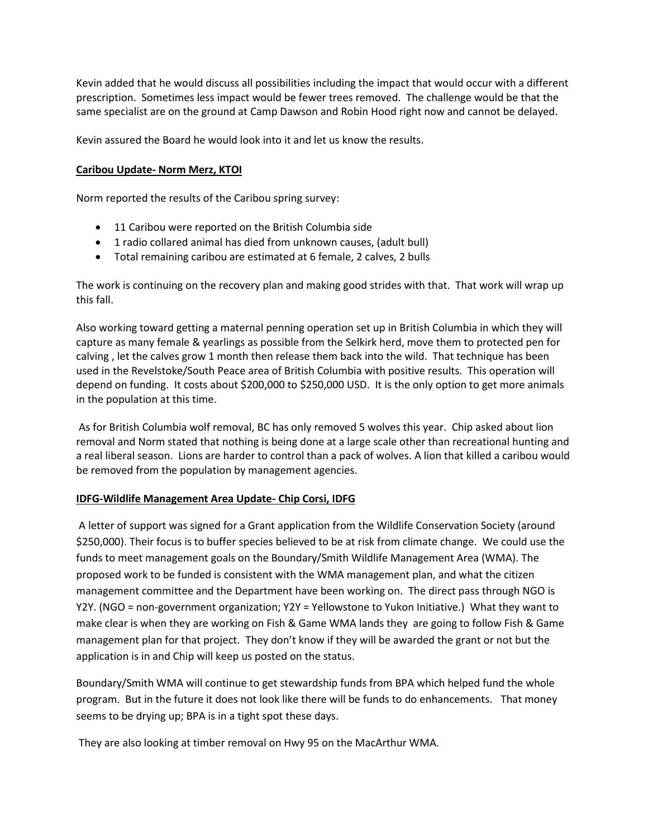Kevin added that he would discuss all possibilities including the impact that would occur with a different prescription. Sometimes less impact would be fewer trees removed. The challenge would be that the same specialist are on the ground at Camp Dawson and Robin Hood right now and cannot be delayed.

Kevin assured the Board he would look into it and let us know the results.

## **Caribou Update- Norm Merz, KTOI**

Norm reported the results of the Caribou spring survey:

- 11 Caribou were reported on the British Columbia side
- 1 radio collared animal has died from unknown causes, (adult bull)
- Total remaining caribou are estimated at 6 female, 2 calves, 2 bulls

The work is continuing on the recovery plan and making good strides with that. That work will wrap up this fall.

Also working toward getting a maternal penning operation set up in British Columbia in which they will capture as many female & yearlings as possible from the Selkirk herd, move them to protected pen for calving , let the calves grow 1 month then release them back into the wild. That technique has been used in the Revelstoke/South Peace area of British Columbia with positive results. This operation will depend on funding. It costs about \$200,000 to \$250,000 USD. It is the only option to get more animals in the population at this time.

As for British Columbia wolf removal, BC has only removed 5 wolves this year. Chip asked about lion removal and Norm stated that nothing is being done at a large scale other than recreational hunting and a real liberal season. Lions are harder to control than a pack of wolves. A lion that killed a caribou would be removed from the population by management agencies.

## **IDFG-Wildlife Management Area Update- Chip Corsi, IDFG**

A letter of support was signed for a Grant application from the Wildlife Conservation Society (around \$250,000). Their focus is to buffer species believed to be at risk from climate change. We could use the funds to meet management goals on the Boundary/Smith Wildlife Management Area (WMA). The proposed work to be funded is consistent with the WMA management plan, and what the citizen management committee and the Department have been working on. The direct pass through NGO is Y2Y. (NGO = non-government organization; Y2Y = Yellowstone to Yukon Initiative.) What they want to make clear is when they are working on Fish & Game WMA lands they are going to follow Fish & Game management plan for that project. They don't know if they will be awarded the grant or not but the application is in and Chip will keep us posted on the status.

Boundary/Smith WMA will continue to get stewardship funds from BPA which helped fund the whole program. But in the future it does not look like there will be funds to do enhancements. That money seems to be drying up; BPA is in a tight spot these days.

They are also looking at timber removal on Hwy 95 on the MacArthur WMA.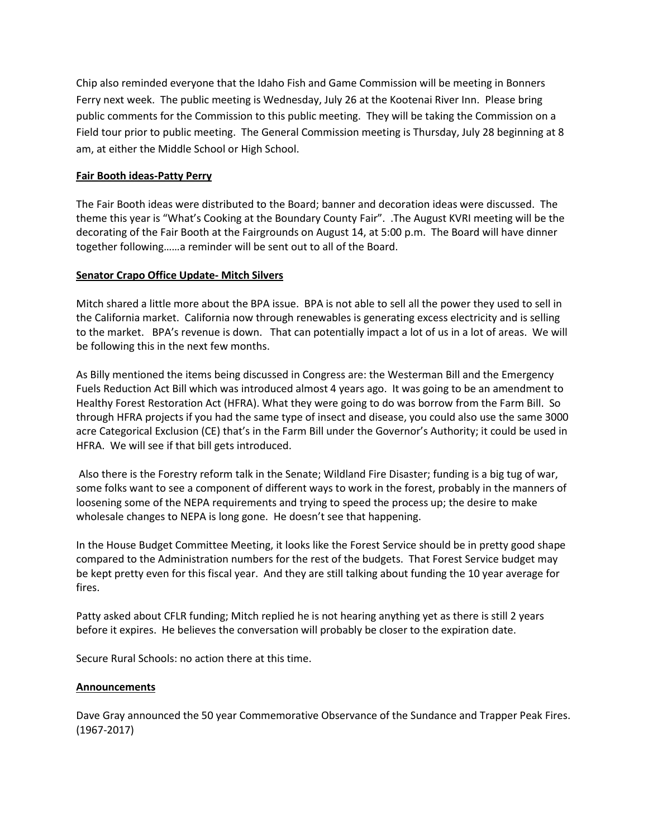Chip also reminded everyone that the Idaho Fish and Game Commission will be meeting in Bonners Ferry next week. The public meeting is Wednesday, July 26 at the Kootenai River Inn. Please bring public comments for the Commission to this public meeting. They will be taking the Commission on a Field tour prior to public meeting. The General Commission meeting is Thursday, July 28 beginning at 8 am, at either the Middle School or High School.

## **Fair Booth ideas-Patty Perry**

The Fair Booth ideas were distributed to the Board; banner and decoration ideas were discussed. The theme this year is "What's Cooking at the Boundary County Fair". .The August KVRI meeting will be the decorating of the Fair Booth at the Fairgrounds on August 14, at 5:00 p.m. The Board will have dinner together following……a reminder will be sent out to all of the Board.

#### **Senator Crapo Office Update- Mitch Silvers**

Mitch shared a little more about the BPA issue. BPA is not able to sell all the power they used to sell in the California market. California now through renewables is generating excess electricity and is selling to the market. BPA's revenue is down. That can potentially impact a lot of us in a lot of areas. We will be following this in the next few months.

As Billy mentioned the items being discussed in Congress are: the Westerman Bill and the Emergency Fuels Reduction Act Bill which was introduced almost 4 years ago. It was going to be an amendment to Healthy Forest Restoration Act (HFRA). What they were going to do was borrow from the Farm Bill. So through HFRA projects if you had the same type of insect and disease, you could also use the same 3000 acre Categorical Exclusion (CE) that's in the Farm Bill under the Governor's Authority; it could be used in HFRA. We will see if that bill gets introduced.

Also there is the Forestry reform talk in the Senate; Wildland Fire Disaster; funding is a big tug of war, some folks want to see a component of different ways to work in the forest, probably in the manners of loosening some of the NEPA requirements and trying to speed the process up; the desire to make wholesale changes to NEPA is long gone. He doesn't see that happening.

In the House Budget Committee Meeting, it looks like the Forest Service should be in pretty good shape compared to the Administration numbers for the rest of the budgets. That Forest Service budget may be kept pretty even for this fiscal year. And they are still talking about funding the 10 year average for fires.

Patty asked about CFLR funding; Mitch replied he is not hearing anything yet as there is still 2 years before it expires. He believes the conversation will probably be closer to the expiration date.

Secure Rural Schools: no action there at this time.

#### **Announcements**

Dave Gray announced the 50 year Commemorative Observance of the Sundance and Trapper Peak Fires. (1967-2017)